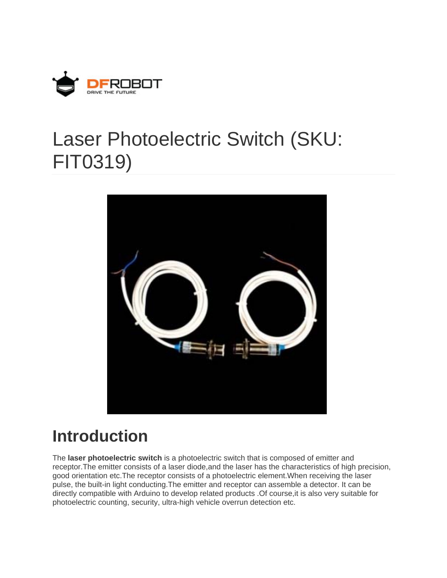

# Laser Photoelectric Switch (SKU: FIT0319)



## **Introduction**

The **laser photoelectric switch** is a photoelectric switch that is composed of emitter and receptor.The emitter consists of a laser diode,and the laser has the characteristics of high precision, good orientation etc.The receptor consists of a photoelectric element.When receiving the laser pulse, the built-in light conducting.The emitter and receptor can assemble a detector. It can be directly compatible with Arduino to develop related products .Of course,it is also very suitable for photoelectric counting, security, ultra-high vehicle overrun detection etc.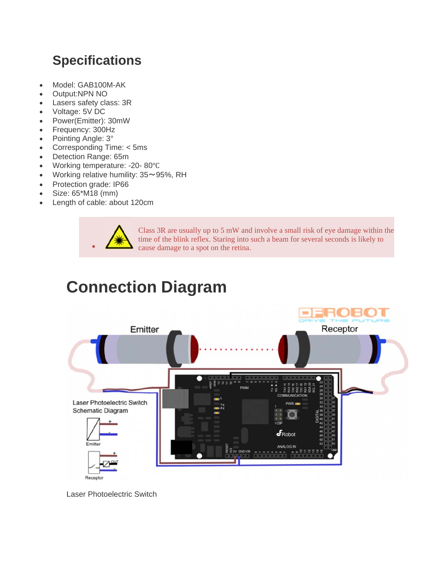#### **Specifications**

- Model: GAB100M-AK
- Output:NPN NO
- Lasers safety class: 3R
- Voltage: 5V DC
- Power(Emitter): 30mW
- Frequency: 300Hz
- Pointing Angle: 3°
- Corresponding Time: < 5ms
- Detection Range: 65m
- Working temperature: -20-80°C
- Working relative humility: 35~95%, RH
- Protection grade: IP66
- Size: 65\*M18 (mm)
- Length of cable: about 120cm



Class 3R are usually up to 5 mW and involve a small risk of eye damage within the time of the blink reflex. Staring into such a beam for several seconds is likely to cause damage to a spot on the retina.

# **Connection Diagram**



Laser Photoelectric Switch